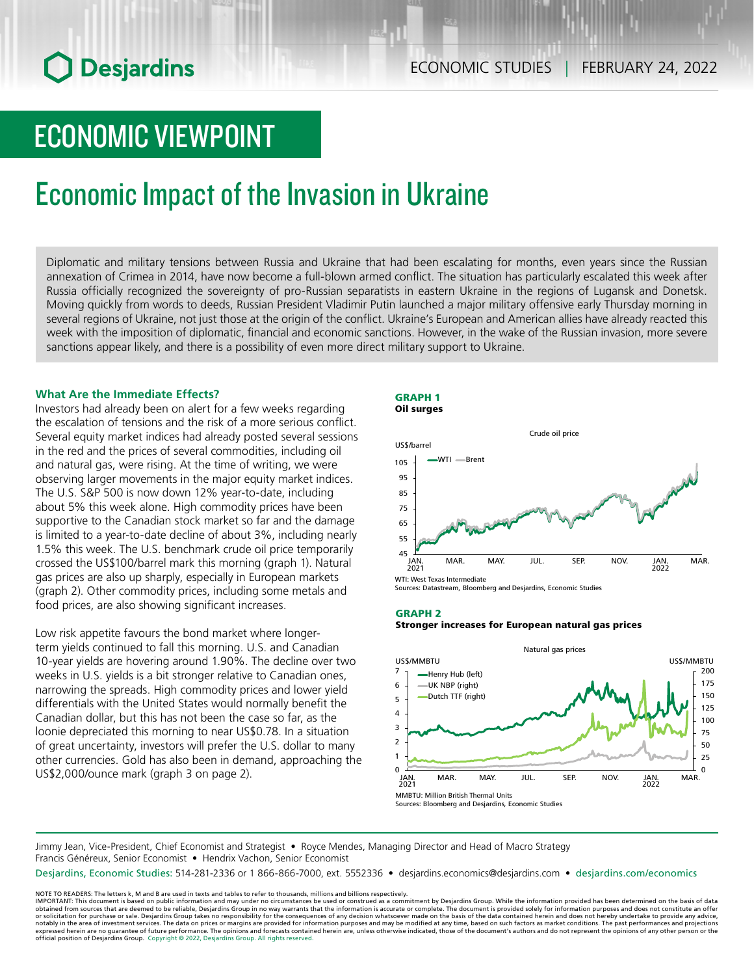# **O** Desjardins

# ECONOMIC VIEWPOINT

### Economic Impact of the Invasion in Ukraine

Diplomatic and military tensions between Russia and Ukraine that had been escalating for months, even years since the Russian annexation of Crimea in 2014, have now become a full-blown armed conflict. The situation has particularly escalated this week after Russia officially recognized the sovereignty of pro-Russian separatists in eastern Ukraine in the regions of Lugansk and Donetsk. Moving quickly from words to deeds, Russian President Vladimir Putin launched a major military offensive early Thursday morning in several regions of Ukraine, not just those at the origin of the conflict. Ukraine's European and American allies have already reacted this week with the imposition of diplomatic, financial and economic sanctions. However, in the wake of the Russian invasion, more severe sanctions appear likely, and there is a possibility of even more direct military support to Ukraine.

### **What Are the Immediate Effects?**

Investors had already been on alert for a few weeks regarding the escalation of tensions and the risk of a more serious conflict. Several equity market indices had already posted several sessions in the red and the prices of several commodities, including oil and natural gas, were rising. At the time of writing, we were observing larger movements in the major equity market indices. The U.S. S&P 500 is now down 12% year-to-date, including about 5% this week alone. High commodity prices have been supportive to the Canadian stock market so far and the damage is limited to a year-to-date decline of about 3%, including nearly 1.5% this week. The U.S. benchmark crude oil price temporarily crossed the US\$100/barrel mark this morning (graph 1). Natural gas prices are also up sharply, especially in European markets (graph 2). Other commodity prices, including some metals and food prices, are also showing significant increases.

Low risk appetite favours the bond market where longerterm yields continued to fall this morning. U.S. and Canadian 10-year yields are hovering around 1.90%. The decline over two weeks in U.S. yields is a bit stronger relative to Canadian ones, narrowing the spreads. High commodity prices and lower yield differentials with the United States would normally benefit the Canadian dollar, but this has not been the case so far, as the loonie depreciated this morning to near US\$0.78. In a situation of great uncertainty, investors will prefer the U.S. dollar to many other currencies. Gold has also been in demand, approaching the US\$2,000/ounce mark (graph 3 on page 2).





Sources: Datastream, Bloomberg and Desjardins, Economic Studies

#### GRAPH 2

#### Stronger increases for European natural gas prices



Jimmy Jean, Vice-President, Chief Economist and Strategist • Royce Mendes, Managing Director and Head of Macro Strategy Francis Généreux, Senior Economist · Hendrix Vachon, Senior Economist

Desjardins, Economic Studies: 514-281-2336 or 1 866-866-7000, ext. 5552336 • desjardins.economics@desjardins.com • [desjardins.com/economics](http://desjardins.com/economics)

NOTE TO READERS: The letters k, M and B are used in texts and tables to refer to thousands, millions and billions respectively.<br>IMPORTANT: This document is based on public information and may under no circumstances be used obtained from sources that are deemed to be reliable, Desjardins Group in no way warrants that the information is accurate or complete. The document is provided solely for information purposes and does not constitute an of official position of Desjardins Group. Copyright © 2022, Desjardins Group. All rights reserved.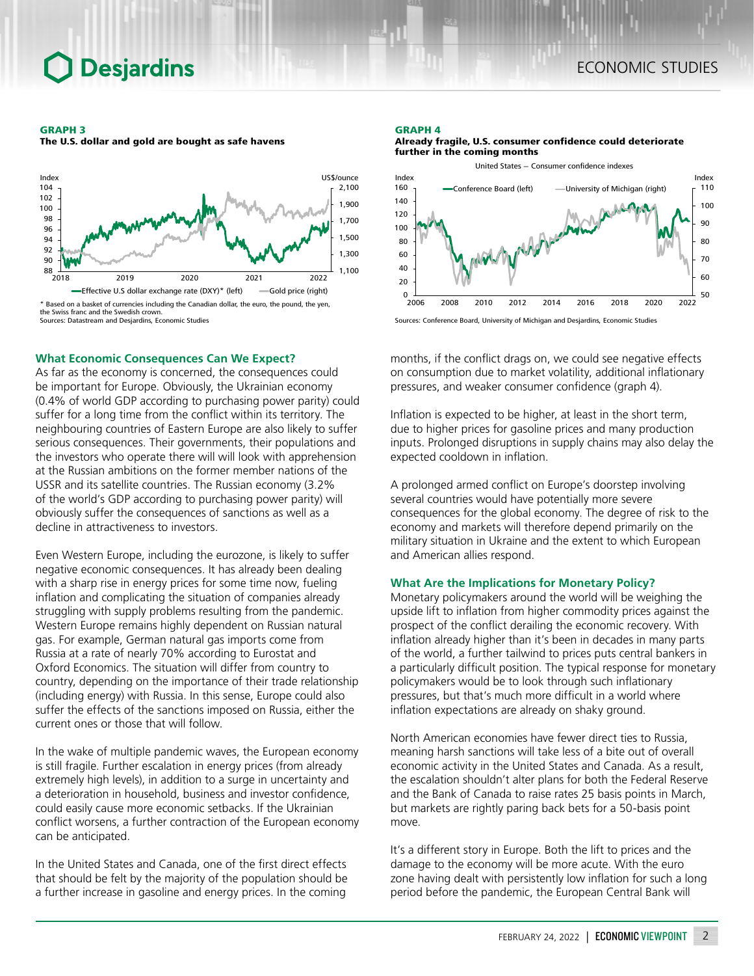#### GRAPH 3

The U.S. dollar and gold are bought as safe havens



Sources: Datastream and Desjardins, Economic Studies

#### **What Economic Consequences Can We Expect?**

As far as the economy is concerned, the consequences could be important for Europe. Obviously, the Ukrainian economy (0.4% of world GDP according to purchasing power parity) could suffer for a long time from the conflict within its territory. The neighbouring countries of Eastern Europe are also likely to suffer serious consequences. Their governments, their populations and the investors who operate there will will look with apprehension at the Russian ambitions on the former member nations of the USSR and its satellite countries. The Russian economy (3.2% of the world's GDP according to purchasing power parity) will obviously suffer the consequences of sanctions as well as a decline in attractiveness to investors.

Even Western Europe, including the eurozone, is likely to suffer negative economic consequences. It has already been dealing with a sharp rise in energy prices for some time now, fueling inflation and complicating the situation of companies already struggling with supply problems resulting from the pandemic. Western Europe remains highly dependent on Russian natural gas. For example, German natural gas imports come from Russia at a rate of nearly 70% according to Eurostat and Oxford Economics. The situation will differ from country to country, depending on the importance of their trade relationship (including energy) with Russia. In this sense, Europe could also suffer the effects of the sanctions imposed on Russia, either the current ones or those that will follow.

In the wake of multiple pandemic waves, the European economy is still fragile. Further escalation in energy prices (from already extremely high levels), in addition to a surge in uncertainty and a deterioration in household, business and investor confidence, could easily cause more economic setbacks. If the Ukrainian conflict worsens, a further contraction of the European economy can be anticipated.

In the United States and Canada, one of the first direct effects that should be felt by the majority of the population should be a further increase in gasoline and energy prices. In the coming

#### GRAPH 4



Already fragile, U.S. consumer confidence could deteriorate further in the coming months



months, if the conflict drags on, we could see negative effects on consumption due to market volatility, additional inflationary pressures, and weaker consumer confidence (graph 4).

Inflation is expected to be higher, at least in the short term, due to higher prices for gasoline prices and many production inputs. Prolonged disruptions in supply chains may also delay the expected cooldown in inflation.

A prolonged armed conflict on Europe's doorstep involving several countries would have potentially more severe consequences for the global economy. The degree of risk to the economy and markets will therefore depend primarily on the military situation in Ukraine and the extent to which European and American allies respond.

### **What Are the Implications for Monetary Policy?**

Monetary policymakers around the world will be weighing the upside lift to inflation from higher commodity prices against the prospect of the conflict derailing the economic recovery. With inflation already higher than it's been in decades in many parts of the world, a further tailwind to prices puts central bankers in a particularly difficult position. The typical response for monetary policymakers would be to look through such inflationary pressures, but that's much more difficult in a world where inflation expectations are already on shaky ground.

North American economies have fewer direct ties to Russia, meaning harsh sanctions will take less of a bite out of overall economic activity in the United States and Canada. As a result, the escalation shouldn't alter plans for both the Federal Reserve and the Bank of Canada to raise rates 25 basis points in March, but markets are rightly paring back bets for a 50-basis point move.

It's a different story in Europe. Both the lift to prices and the damage to the economy will be more acute. With the euro zone having dealt with persistently low inflation for such a long period before the pandemic, the European Central Bank will